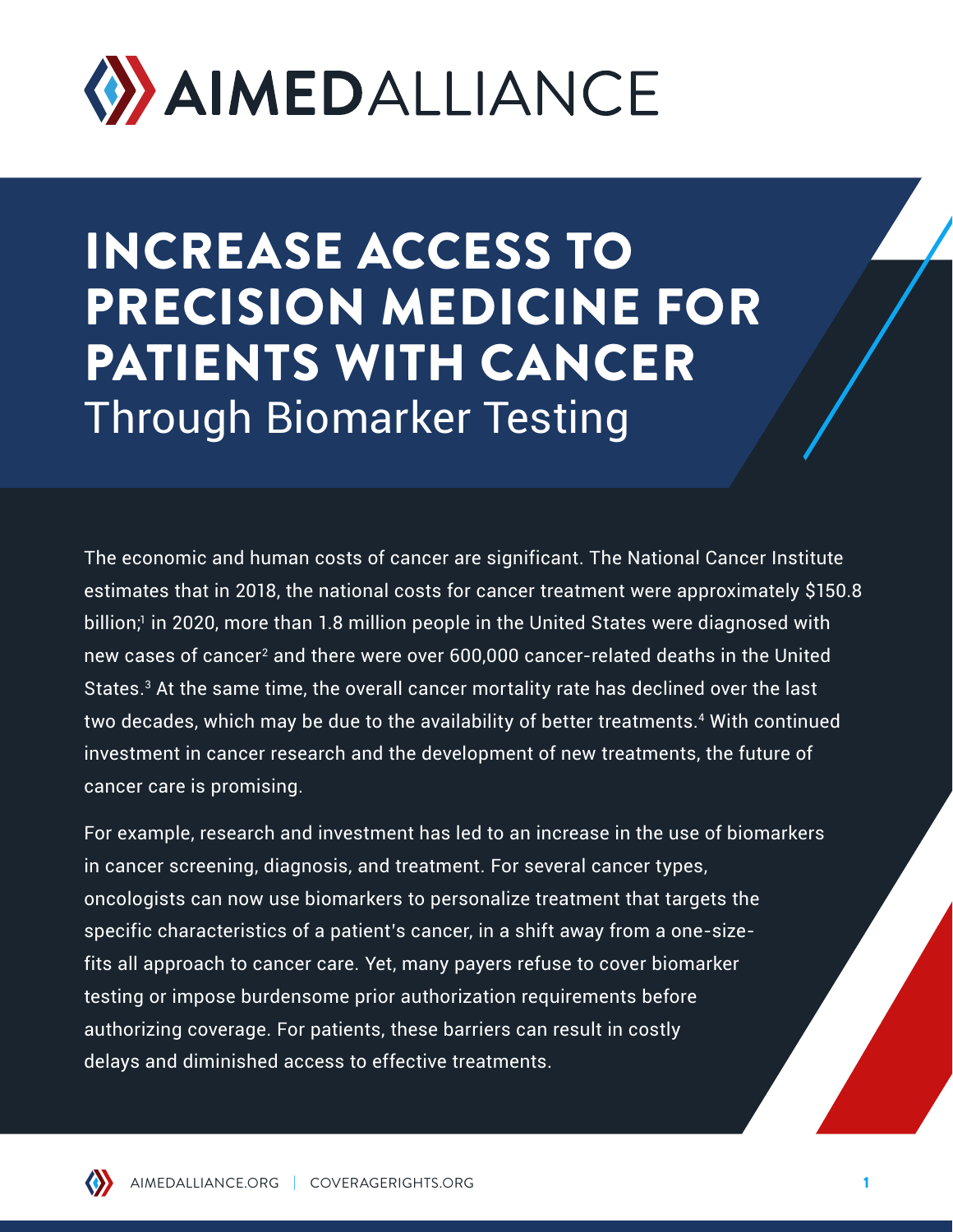

INCREASE ACCESS TO PRECISION MEDICINE FOR PATIENTS WITH CANCER Through Biomarker Testing

The economic and human costs of cancer are significant. The National Cancer Institute estimates that in 2018, the national costs for cancer treatment were approximately \$150.8 billion;<sup>1</sup> in 2020, more than 1.8 million people in the United States were diagnosed with new cases of cancer<sup>2</sup> and there were over 600,000 cancer-related deaths in the United States.<sup>3</sup> At the same time, the overall cancer mortality rate has declined over the last two decades, which may be due to the availability of better treatments.<sup>4</sup> With continued investment in cancer research and the development of new treatments, the future of cancer care is promising.

For example, research and investment has led to an increase in the use of biomarkers in cancer screening, diagnosis, and treatment. For several cancer types, oncologists can now use biomarkers to personalize treatment that targets the specific characteristics of a patient's cancer, in a shift away from a one-sizefits all approach to cancer care. Yet, many payers refuse to cover biomarker testing or impose burdensome prior authorization requirements before authorizing coverage. For patients, these barriers can result in costly delays and diminished access to effective treatments.

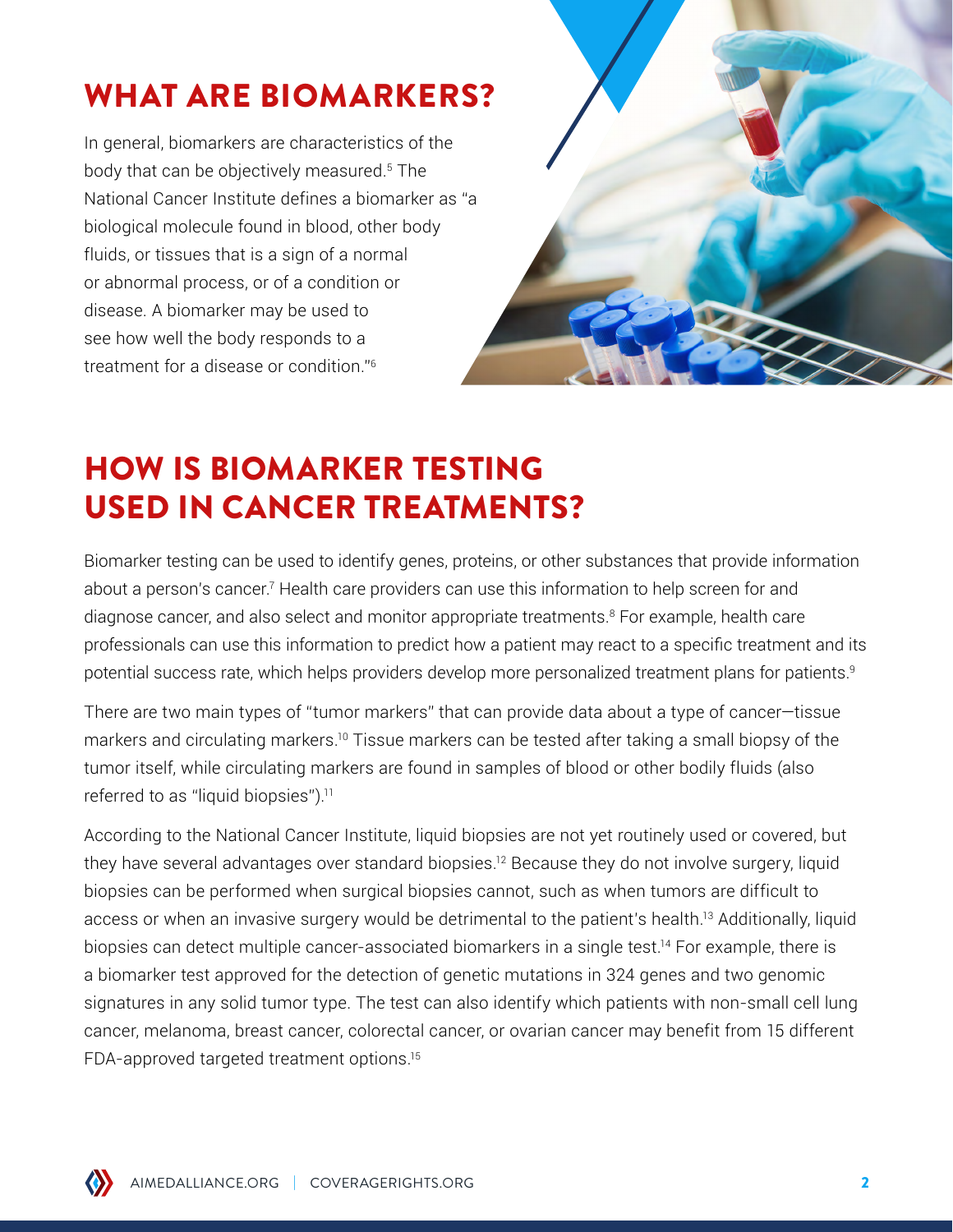# WHAT ARE BIOMARKERS?

In general, biomarkers are characteristics of the body that can be objectively measured.5 The National Cancer Institute defines a biomarker as "a biological molecule found in blood, other body fluids, or tissues that is a sign of a normal or abnormal process, or of a condition or disease. A biomarker may be used to see how well the body responds to a treatment for a disease or condition."6



# HOW IS BIOMARKER TESTING USED IN CANCER TREATMENTS?

Biomarker testing can be used to identify genes, proteins, or other substances that provide information about a person's cancer.<sup>7</sup> Health care providers can use this information to help screen for and diagnose cancer, and also select and monitor appropriate treatments.8 For example, health care professionals can use this information to predict how a patient may react to a specific treatment and its potential success rate, which helps providers develop more personalized treatment plans for patients.<sup>9</sup>

There are two main types of "tumor markers" that can provide data about a type of cancer—tissue markers and circulating markers.<sup>10</sup> Tissue markers can be tested after taking a small biopsy of the tumor itself, while circulating markers are found in samples of blood or other bodily fluids (also referred to as "liquid biopsies").<sup>11</sup>

According to the National Cancer Institute, liquid biopsies are not yet routinely used or covered, but they have several advantages over standard biopsies.<sup>12</sup> Because they do not involve surgery, liquid biopsies can be performed when surgical biopsies cannot, such as when tumors are difficult to access or when an invasive surgery would be detrimental to the patient's health.13 Additionally, liquid biopsies can detect multiple cancer-associated biomarkers in a single test.<sup>14</sup> For example, there is a biomarker test approved for the detection of genetic mutations in 324 genes and two genomic signatures in any solid tumor type. The test can also identify which patients with non-small cell lung cancer, melanoma, breast cancer, colorectal cancer, or ovarian cancer may benefit from 15 different FDA-approved targeted treatment options.15

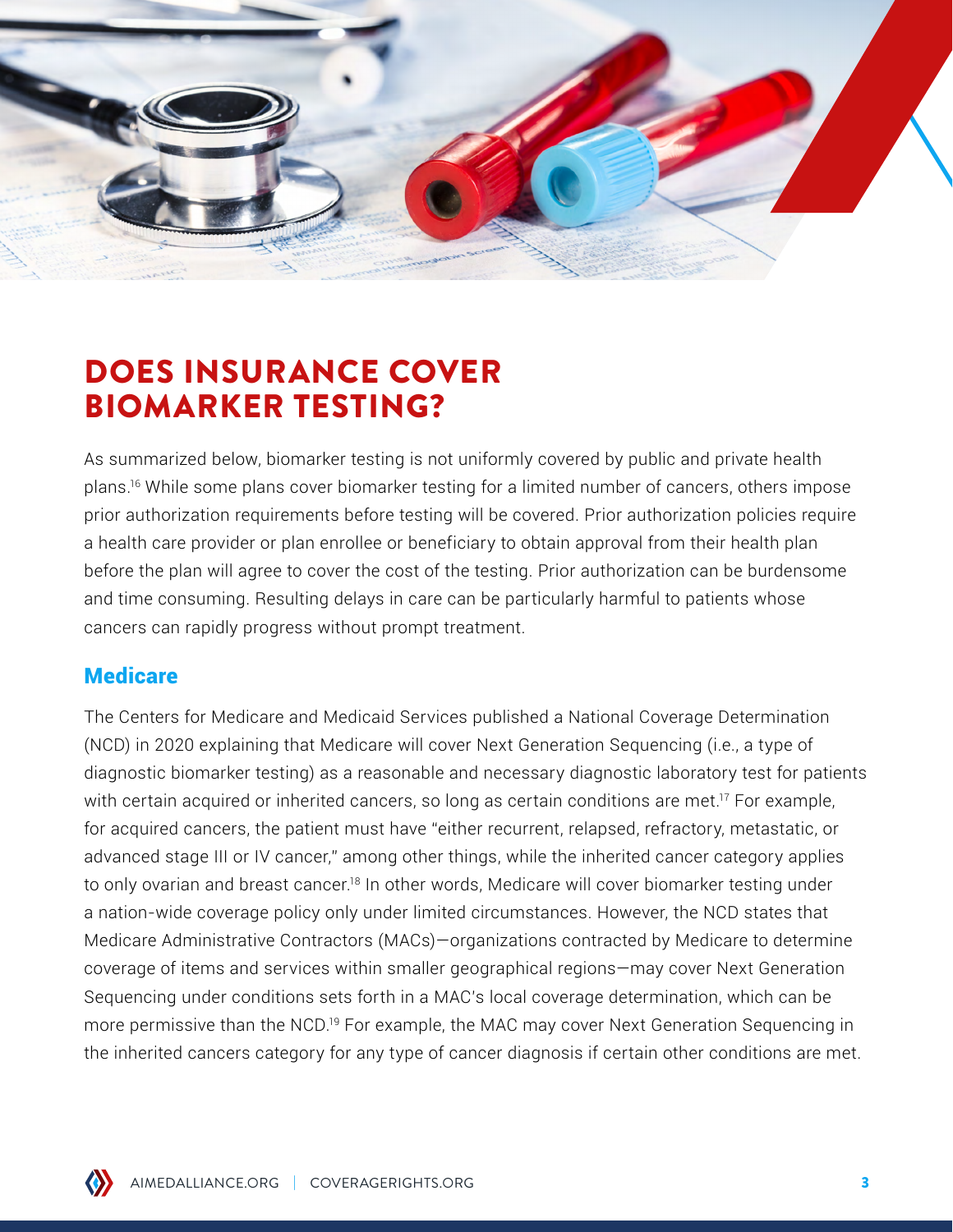

## DOES INSURANCE COVER BIOMARKER TESTING?

As summarized below, biomarker testing is not uniformly covered by public and private health plans.16 While some plans cover biomarker testing for a limited number of cancers, others impose prior authorization requirements before testing will be covered. Prior authorization policies require a health care provider or plan enrollee or beneficiary to obtain approval from their health plan before the plan will agree to cover the cost of the testing. Prior authorization can be burdensome and time consuming. Resulting delays in care can be particularly harmful to patients whose cancers can rapidly progress without prompt treatment.

#### **Medicare**

The Centers for Medicare and Medicaid Services published a National Coverage Determination (NCD) in 2020 explaining that Medicare will cover Next Generation Sequencing (i.e., a type of diagnostic biomarker testing) as a reasonable and necessary diagnostic laboratory test for patients with certain acquired or inherited cancers, so long as certain conditions are met.<sup>17</sup> For example, for acquired cancers, the patient must have "either recurrent, relapsed, refractory, metastatic, or advanced stage III or IV cancer," among other things, while the inherited cancer category applies to only ovarian and breast cancer.<sup>18</sup> In other words, Medicare will cover biomarker testing under a nation-wide coverage policy only under limited circumstances. However, the NCD states that Medicare Administrative Contractors (MACs)—organizations contracted by Medicare to determine coverage of items and services within smaller geographical regions—may cover Next Generation Sequencing under conditions sets forth in a MAC's local coverage determination, which can be more permissive than the NCD.19 For example, the MAC may cover Next Generation Sequencing in the inherited cancers category for any type of cancer diagnosis if certain other conditions are met.

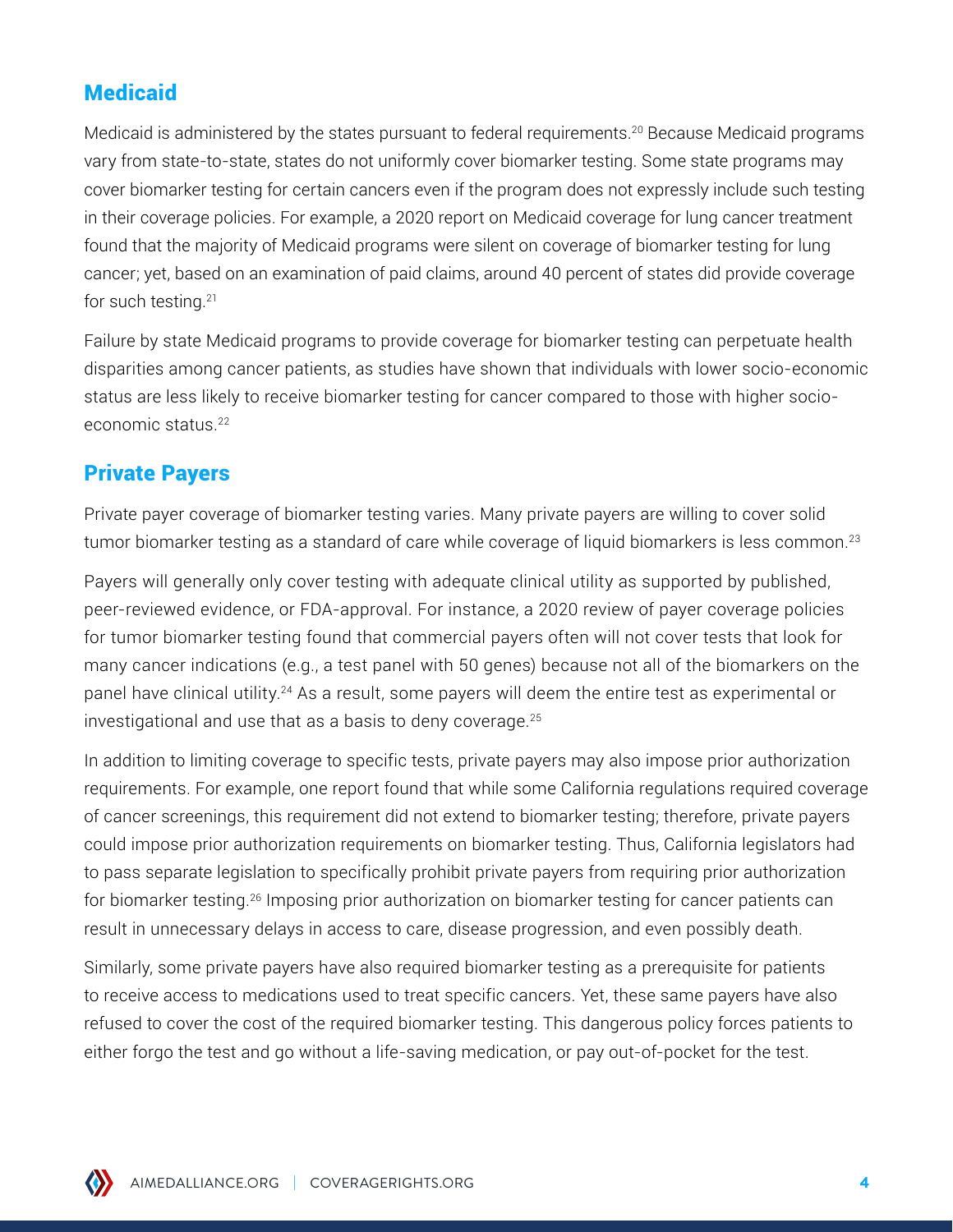### **Medicaid**

Medicaid is administered by the states pursuant to federal requirements.<sup>20</sup> Because Medicaid programs vary from state-to-state, states do not uniformly cover biomarker testing. Some state programs may cover biomarker testing for certain cancers even if the program does not expressly include such testing in their coverage policies. For example, a 2020 report on Medicaid coverage for lung cancer treatment found that the majority of Medicaid programs were silent on coverage of biomarker testing for lung cancer; yet, based on an examination of paid claims, around 40 percent of states did provide coverage for such testing.21

Failure by state Medicaid programs to provide coverage for biomarker testing can perpetuate health disparities among cancer patients, as studies have shown that individuals with lower socio-economic status are less likely to receive biomarker testing for cancer compared to those with higher socioeconomic status.22

#### Private Payers

Private payer coverage of biomarker testing varies. Many private payers are willing to cover solid tumor biomarker testing as a standard of care while coverage of liquid biomarkers is less common.<sup>23</sup>

Payers will generally only cover testing with adequate clinical utility as supported by published, peer-reviewed evidence, or FDA-approval. For instance, a 2020 review of payer coverage policies for tumor biomarker testing found that commercial payers often will not cover tests that look for many cancer indications (e.g., a test panel with 50 genes) because not all of the biomarkers on the panel have clinical utility.24 As a result, some payers will deem the entire test as experimental or investigational and use that as a basis to deny coverage.25

In addition to limiting coverage to specific tests, private payers may also impose prior authorization requirements. For example, one report found that while some California regulations required coverage of cancer screenings, this requirement did not extend to biomarker testing; therefore, private payers could impose prior authorization requirements on biomarker testing. Thus, California legislators had to pass separate legislation to specifically prohibit private payers from requiring prior authorization for biomarker testing.26 Imposing prior authorization on biomarker testing for cancer patients can result in unnecessary delays in access to care, disease progression, and even possibly death.

Similarly, some private payers have also required biomarker testing as a prerequisite for patients to receive access to medications used to treat specific cancers. Yet, these same payers have also refused to cover the cost of the required biomarker testing. This dangerous policy forces patients to either forgo the test and go without a life-saving medication, or pay out-of-pocket for the test.

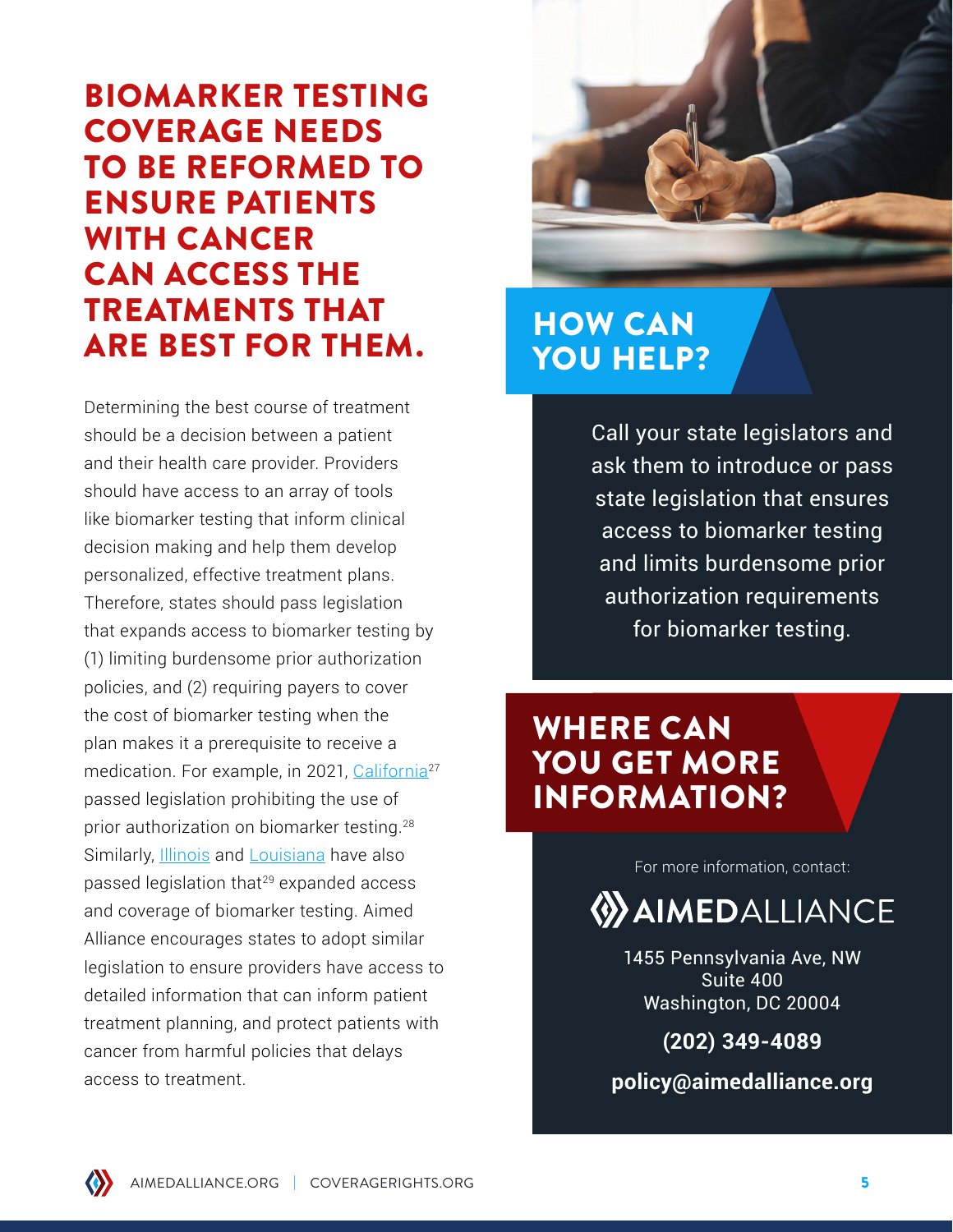## BIOMARKER TESTING COVERAGE NEEDS TO BE REFORMED TO ENSURE PATIENTS WITH CANCER CAN ACCESS THE TREATMENTS THAT ARE BEST FOR THEM.

Determining the best course of treatment should be a decision between a patient and their health care provider. Providers should have access to an array of tools like biomarker testing that inform clinical decision making and help them develop personalized, effective treatment plans. Therefore, states should pass legislation that expands access to biomarker testing by (1) limiting burdensome prior authorization policies, and (2) requiring payers to cover the cost of biomarker testing when the plan makes it a prerequisite to receive a medication. For example, in 2021, California<sup>27</sup> passed legislation prohibiting the use of prior authorization on biomarker testing.28 Similarly, **Illinois** and **Louisiana** have also passed legislation that<sup>29</sup> expanded access and coverage of biomarker testing. Aimed Alliance encourages states to adopt similar legislation to ensure providers have access to detailed information that can inform patient treatment planning, and protect patients with cancer from harmful policies that delays access to treatment.



### HOW CAN YOU HELP?

Call your state legislators and ask them to introduce or pass state legislation that ensures access to biomarker testing and limits burdensome prior authorization requirements for biomarker testing.

### WHERE CAN YOU GET MORE INFORMATION?

For more information, contact:

**WAIMEDALLIANCE** 

1455 Pennsylvania Ave, NW Suite 400 Washington, DC 20004

**(202) 349-4089**

**policy@aimedalliance.org**